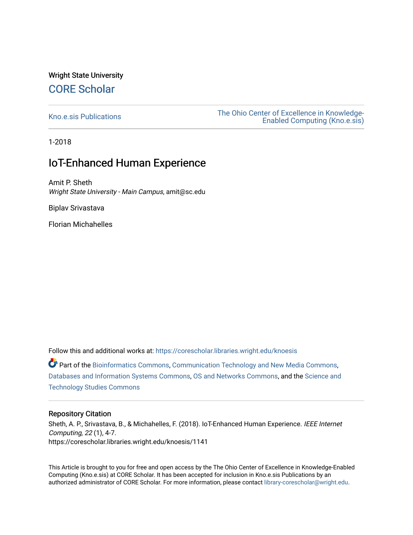## Wright State University [CORE Scholar](https://corescholar.libraries.wright.edu/)

[Kno.e.sis Publications](https://corescholar.libraries.wright.edu/knoesis) [The Ohio Center of Excellence in Knowledge-](https://corescholar.libraries.wright.edu/knoesis_comm)[Enabled Computing \(Kno.e.sis\)](https://corescholar.libraries.wright.edu/knoesis_comm) 

1-2018

## IoT-Enhanced Human Experience

Amit P. Sheth Wright State University - Main Campus, amit@sc.edu

Biplav Srivastava

Florian Michahelles

Follow this and additional works at: [https://corescholar.libraries.wright.edu/knoesis](https://corescholar.libraries.wright.edu/knoesis?utm_source=corescholar.libraries.wright.edu%2Fknoesis%2F1141&utm_medium=PDF&utm_campaign=PDFCoverPages)  Part of the [Bioinformatics Commons,](http://network.bepress.com/hgg/discipline/110?utm_source=corescholar.libraries.wright.edu%2Fknoesis%2F1141&utm_medium=PDF&utm_campaign=PDFCoverPages) [Communication Technology and New Media Commons,](http://network.bepress.com/hgg/discipline/327?utm_source=corescholar.libraries.wright.edu%2Fknoesis%2F1141&utm_medium=PDF&utm_campaign=PDFCoverPages) [Databases and Information Systems Commons](http://network.bepress.com/hgg/discipline/145?utm_source=corescholar.libraries.wright.edu%2Fknoesis%2F1141&utm_medium=PDF&utm_campaign=PDFCoverPages), [OS and Networks Commons](http://network.bepress.com/hgg/discipline/149?utm_source=corescholar.libraries.wright.edu%2Fknoesis%2F1141&utm_medium=PDF&utm_campaign=PDFCoverPages), and the [Science and](http://network.bepress.com/hgg/discipline/435?utm_source=corescholar.libraries.wright.edu%2Fknoesis%2F1141&utm_medium=PDF&utm_campaign=PDFCoverPages) [Technology Studies Commons](http://network.bepress.com/hgg/discipline/435?utm_source=corescholar.libraries.wright.edu%2Fknoesis%2F1141&utm_medium=PDF&utm_campaign=PDFCoverPages) 

#### Repository Citation

Sheth, A. P., Srivastava, B., & Michahelles, F. (2018). IoT-Enhanced Human Experience. IEEE Internet Computing, 22 (1), 4-7. https://corescholar.libraries.wright.edu/knoesis/1141

This Article is brought to you for free and open access by the The Ohio Center of Excellence in Knowledge-Enabled Computing (Kno.e.sis) at CORE Scholar. It has been accepted for inclusion in Kno.e.sis Publications by an authorized administrator of CORE Scholar. For more information, please contact [library-corescholar@wright.edu](mailto:library-corescholar@wright.edu).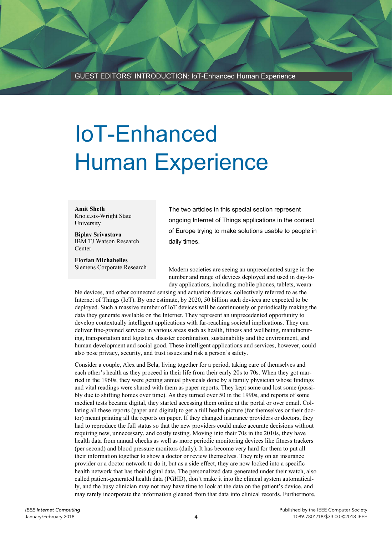# IoT-Enhanced Human Experience

**Amit Sheth**  Kno.e.sis-Wright State University

**Biplav Srivastava**  IBM TJ Watson Research **Center** 

**Florian Michahelles**  Siemens Corporate Research The two articles in this special section represent ongoing Internet of Things applications in the context of Europe trying to make solutions usable to people in daily times.

Modern societies are seeing an unprecedented surge in the number and range of devices deployed and used in day-today applications, including mobile phones, tablets, weara-

ble devices, and other connected sensing and actuation devices, collectively referred to as the Internet of Things (IoT). By one estimate, by 2020, 50 billion such devices are expected to be deployed. Such a massive number of IoT devices will be continuously or periodically making the data they generate available on the Internet. They represent an unprecedented opportunity to develop contextually intelligent applications with far-reaching societal implications. They can deliver fine-grained services in various areas such as health, fitness and wellbeing, manufacturing, transportation and logistics, disaster coordination, sustainability and the environment, and human development and social good. These intelligent applications and services, however, could also pose privacy, security, and trust issues and risk a person's safety.

Consider a couple, Alex and Bela, living together for a period, taking care of themselves and each other's health as they proceed in their life from their early 20s to 70s. When they got married in the 1960s, they were getting annual physicals done by a family physician whose findings and vital readings were shared with them as paper reports. They kept some and lost some (possibly due to shifting homes over time). As they turned over 50 in the 1990s, and reports of some medical tests became digital, they started accessing them online at the portal or over email. Collating all these reports (paper and digital) to get a full health picture (for themselves or their doctor) meant printing all the reports on paper. If they changed insurance providers or doctors, they had to reproduce the full status so that the new providers could make accurate decisions without requiring new, unnecessary, and costly testing. Moving into their 70s in the 2010s, they have health data from annual checks as well as more periodic monitoring devices like fitness trackers (per second) and blood pressure monitors (daily). It has become very hard for them to put all their information together to show a doctor or review themselves. They rely on an insurance provider or a doctor network to do it, but as a side effect, they are now locked into a specific health network that has their digital data. The personalized data generated under their watch, also called patient-generated health data (PGHD), don't make it into the clinical system automatically, and the busy clinician may not may have time to look at the data on the patient's device, and may rarely incorporate the information gleaned from that data into clinical records. Furthermore,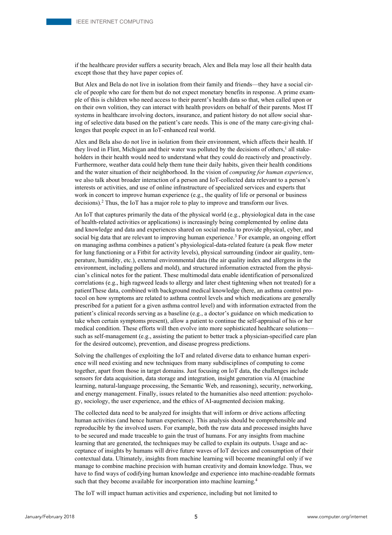if the healthcare provider suffers a security breach, Alex and Bela may lose all their health data except those that they have paper copies of.

But Alex and Bela do not live in isolation from their family and friends—they have a social circle of people who care for them but do not expect monetary benefits in response. A prime example of this is children who need access to their parent's health data so that, when called upon or on their own volition, they can interact with health providers on behalf of their parents. Most IT systems in healthcare involving doctors, insurance, and patient history do not allow social sharing of selective data based on the patient's care needs. This is one of the many care-giving challenges that people expect in an IoT-enhanced real world.

Alex and Bela also do not live in isolation from their environment, which affects their health. If they lived in Flint, Michigan and their water was polluted by the decisions of others,<sup>1</sup> all stakeholders in their health would need to understand what they could do reactively and proactively. Furthermore, weather data could help them tune their daily habits, given their health conditions and the water situation of their neighborhood. In the vision of *computing for human experience*, we also talk about broader interaction of a person and IoT-collected data relevant to a person's interests or activities, and use of online infrastructure of specialized services and experts that work in concert to improve human experience (e.g., the quality of life or personal or business decisions).2 Thus, the IoT has a major role to play to improve and transform our lives.

An IoT that captures primarily the data of the physical world (e.g., physiological data in the case of health-related activities or applications) is increasingly being complemented by online data and knowledge and data and experiences shared on social media to provide physical, cyber, and social big data that are relevant to improving human experience.<sup>3</sup> For example, an ongoing effort on managing asthma combines a patient's physiological-data-related feature (a peak flow meter for lung functioning or a Fitbit for activity levels), physical surrounding (indoor air quality, temperature, humidity, etc.), external environmental data (the air quality index and allergens in the environment, including pollens and mold), and structured information extracted from the physician's clinical notes for the patient. These multimodal data enable identification of personalized correlations (e.g., high ragweed leads to allergy and later chest tightening when not treated) for a patientThese data, combined with background medical knowledge (here, an asthma control protocol on how symptoms are related to asthma control levels and which medications are generally prescribed for a patient for a given asthma control level) and with information extracted from the patient's clinical records serving as a baseline (e.g., a doctor's guidance on which medication to take when certain symptoms present), allow a patient to continue the self-appraisal of his or her medical condition. These efforts will then evolve into more sophisticated healthcare solutions such as self-management (e.g., assisting the patient to better track a physician-specified care plan for the desired outcome), prevention, and disease progress predictions.

Solving the challenges of exploiting the IoT and related diverse data to enhance human experience will need existing and new techniques from many subdisciplines of computing to come together, apart from those in target domains. Just focusing on IoT data, the challenges include sensors for data acquisition, data storage and integration, insight generation via AI (machine learning, natural-language processing, the Semantic Web, and reasoning), security, networking, and energy management. Finally, issues related to the humanities also need attention: psychology, sociology, the user experience, and the ethics of AI-augmented decision making.

The collected data need to be analyzed for insights that will inform or drive actions affecting human activities (and hence human experience). This analysis should be comprehensible and reproducible by the involved users. For example, both the raw data and processed insights have to be secured and made traceable to gain the trust of humans. For any insights from machine learning that are generated, the techniques may be called to explain its outputs. Usage and acceptance of insights by humans will drive future waves of IoT devices and consumption of their contextual data. Ultimately, insights from machine learning will become meaningful only if we manage to combine machine precision with human creativity and domain knowledge. Thus, we have to find ways of codifying human knowledge and experience into machine-readable formats such that they become available for incorporation into machine learning.<sup>4</sup>

The IoT will impact human activities and experience, including but not limited to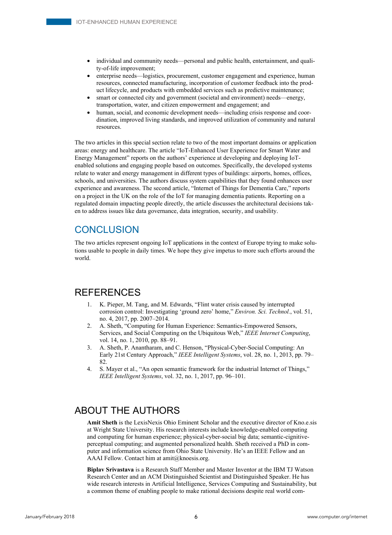- individual and community needs—personal and public health, entertainment, and quality-of-life improvement;
- enterprise needs—logistics, procurement, customer engagement and experience, human resources, connected manufacturing, incorporation of customer feedback into the product lifecycle, and products with embedded services such as predictive maintenance;
- smart or connected city and government (societal and environment) needs—energy, transportation, water, and citizen empowerment and engagement; and
- human, social, and economic development needs—including crisis response and coordination, improved living standards, and improved utilization of community and natural resources.

The two articles in this special section relate to two of the most important domains or application areas: energy and healthcare. The article "IoT-Enhanced User Experience for Smart Water and Energy Management" reports on the authors' experience at developing and deploying IoTenabled solutions and engaging people based on outcomes. Specifically, the developed systems relate to water and energy management in different types of buildings: airports, homes, offices, schools, and universities. The authors discuss system capabilities that they found enhances user experience and awareness. The second article, "Internet of Things for Dementia Care," reports on a project in the UK on the role of the IoT for managing dementia patients. Reporting on a regulated domain impacting people directly, the article discusses the architectural decisions taken to address issues like data governance, data integration, security, and usability.

### **CONCLUSION**

The two articles represent ongoing IoT applications in the context of Europe trying to make solutions usable to people in daily times. We hope they give impetus to more such efforts around the world.

### REFERENCES

- K. Pieper, M. Tang, and M. Edwards, "Flint water crisis caused by interrupted corrosion control: Investigating 'ground zero' home," *Environ. Sci. Technol.*, vol. 51, no. 4, 2017, pp. 2007–2014.
- 2. A. Sheth, "Computing for Human Experience: Semantics-Empowered Sensors, Services, and Social Computing on the Ubiquitous Web," *IEEE Internet Computing*, vol. 14, no. 1, 2010, pp. 88–91.
- 3. A. Sheth, P. Anantharam, and C. Henson, "Physical-Cyber-Social Computing: An Early 21st Century Approach," *IEEE Intelligent Systems*, vol. 28, no. 1, 2013, pp. 79– 82.
- 4. S. Mayer et al., "An open semantic framework for the industrial Internet of Things," *IEEE Intelligent Systems*, vol. 32, no. 1, 2017, pp. 96–101.

## ABOUT THE AUTHORS

**Amit Sheth** is the LexisNexis Ohio Eminent Scholar and the executive director of Kno.e.sis at Wright State University. His research interests include knowledge-enabled computing and computing for human experience; physical-cyber-social big data; semantic-cignitiveperceptual computing; and augmented personalized health. Sheth received a PhD in computer and information science from Ohio State University. He's an IEEE Fellow and an AAAI Fellow. Contact him at amit@knoesis.org.

**Biplav Srivastava** is a Research Staff Member and Master Inventor at the IBM TJ Watson Research Center and an ACM Distinguished Scientist and Distinguished Speaker. He has wide research interests in Artificial Intelligence, Services Computing and Sustainability, but a common theme of enabling people to make rational decisions despite real world com